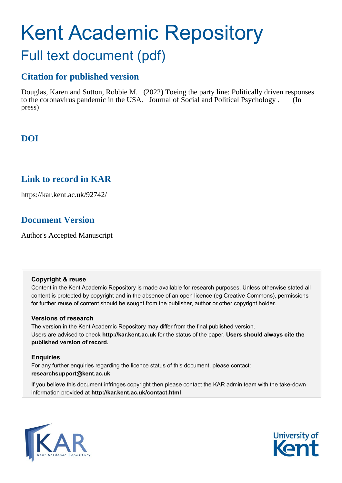# Kent Academic Repository Full text document (pdf)

# **Citation for published version**

Douglas, Karen and Sutton, Robbie M. (2022) Toeing the party line: Politically driven responses to the coronavirus pandemic in the USA. Journal of Social and Political Psychology . (In press)

# **DOI**

# **Link to record in KAR**

https://kar.kent.ac.uk/92742/

# **Document Version**

Author's Accepted Manuscript

#### **Copyright & reuse**

Content in the Kent Academic Repository is made available for research purposes. Unless otherwise stated all content is protected by copyright and in the absence of an open licence (eg Creative Commons), permissions for further reuse of content should be sought from the publisher, author or other copyright holder.

#### **Versions of research**

The version in the Kent Academic Repository may differ from the final published version. Users are advised to check **http://kar.kent.ac.uk** for the status of the paper. **Users should always cite the published version of record.**

#### **Enquiries**

For any further enquiries regarding the licence status of this document, please contact: **researchsupport@kent.ac.uk**

If you believe this document infringes copyright then please contact the KAR admin team with the take-down information provided at **http://kar.kent.ac.uk/contact.html**



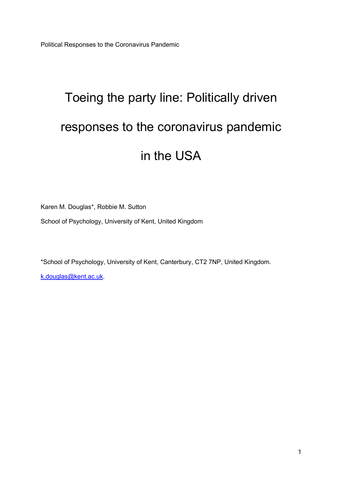Political Responses to the Coronavirus Pandemic

# Toeing the party line: Politically driven responses to the coronavirus pandemic in the USA

Karen M. Douglas\*, Robbie M. Sutton

School of Psychology, University of Kent, United Kingdom

\*School of Psychology, University of Kent, Canterbury, CT2 7NP, United Kingdom.

k.douglas@kent.ac.uk.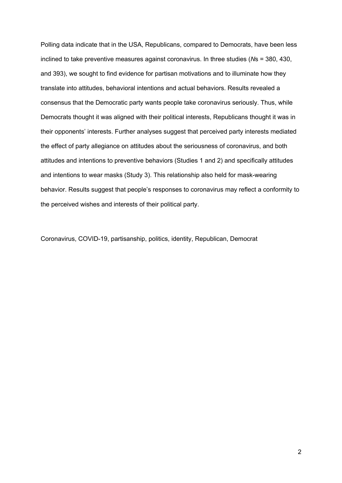Polling data indicate that in the USA, Republicans, compared to Democrats, have been less inclined to take preventive measures against coronavirus. In three studies (*N*s = 380, 430, and 393), we sought to find evidence for partisan motivations and to illuminate how they translate into attitudes, behavioral intentions and actual behaviors. Results revealed a consensus that the Democratic party wants people take coronavirus seriously. Thus, while Democrats thought it was aligned with their political interests, Republicans thought it was in their opponents' interests. Further analyses suggest that perceived party interests mediated the effect of party allegiance on attitudes about the seriousness of coronavirus, and both attitudes and intentions to preventive behaviors (Studies 1 and 2) and specifically attitudes and intentions to wear masks (Study 3). This relationship also held for mask-wearing behavior. Results suggest that people's responses to coronavirus may reflect a conformity to the perceived wishes and interests of their political party.

Coronavirus, COVID-19, partisanship, politics, identity, Republican, Democrat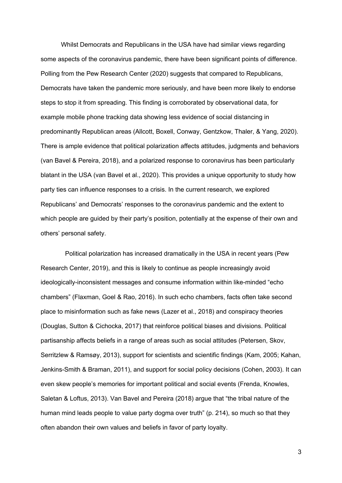Whilst Democrats and Republicans in the USA have had similar views regarding some aspects of the coronavirus pandemic, there have been significant points of difference. Polling from the Pew Research Center (2020) suggests that compared to Republicans, Democrats have taken the pandemic more seriously, and have been more likely to endorse steps to stop it from spreading. This finding is corroborated by observational data, for example mobile phone tracking data showing less evidence of social distancing in predominantly Republican areas (Allcott, Boxell, Conway, Gentzkow, Thaler, & Yang, 2020). There is ample evidence that political polarization affects attitudes, judgments and behaviors (van Bavel & Pereira, 2018), and a polarized response to coronavirus has been particularly blatant in the USA (van Bavel et al., 2020). This provides a unique opportunity to study how party ties can influence responses to a crisis. In the current research, we explored Republicans' and Democrats' responses to the coronavirus pandemic and the extent to which people are guided by their party's position, potentially at the expense of their own and others' personal safety.

Political polarization has increased dramatically in the USA in recent years (Pew Research Center, 2019), and this is likely to continue as people increasingly avoid ideologically-inconsistent messages and consume information within like-minded "echo chambers" (Flaxman, Goel & Rao, 2016). In such echo chambers, facts often take second place to misinformation such as fake news (Lazer et al., 2018) and conspiracy theories (Douglas, Sutton & Cichocka, 2017) that reinforce political biases and divisions. Political partisanship affects beliefs in a range of areas such as social attitudes (Petersen, Skov, Serritzlew & Ramsøy, 2013), support for scientists and scientific findings (Kam, 2005; Kahan, Jenkins-Smith & Braman, 2011), and support for social policy decisions (Cohen, 2003). It can even skew people's memories for important political and social events (Frenda, Knowles, Saletan & Loftus, 2013). Van Bavel and Pereira (2018) argue that "the tribal nature of the human mind leads people to value party dogma over truth" (p. 214), so much so that they often abandon their own values and beliefs in favor of party loyalty.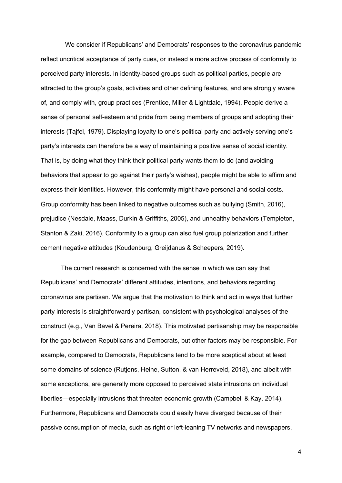We consider if Republicans' and Democrats' responses to the coronavirus pandemic reflect uncritical acceptance of party cues, or instead a more active process of conformity to perceived party interests. In identity-based groups such as political parties, people are attracted to the group's goals, activities and other defining features, and are strongly aware of, and comply with, group practices (Prentice, Miller & Lightdale, 1994). People derive a sense of personal self-esteem and pride from being members of groups and adopting their interests (Tajfel, 1979). Displaying loyalty to one's political party and actively serving one's party's interests can therefore be a way of maintaining a positive sense of social identity. That is, by doing what they think their political party wants them to do (and avoiding behaviors that appear to go against their party's wishes), people might be able to affirm and express their identities. However, this conformity might have personal and social costs. Group conformity has been linked to negative outcomes such as bullying (Smith, 2016), prejudice (Nesdale, Maass, Durkin & Griffiths, 2005), and unhealthy behaviors (Templeton, Stanton & Zaki, 2016). Conformity to a group can also fuel group polarization and further cement negative attitudes (Koudenburg, Greijdanus & Scheepers, 2019).

The current research is concerned with the sense in which we can say that Republicans' and Democrats' different attitudes, intentions, and behaviors regarding coronavirus are partisan. We argue that the motivation to think and act in ways that further party interests is straightforwardly partisan, consistent with psychological analyses of the construct (e.g., Van Bavel & Pereira, 2018). This motivated partisanship may be responsible for the gap between Republicans and Democrats, but other factors may be responsible. For example, compared to Democrats, Republicans tend to be more sceptical about at least some domains of science (Rutjens, Heine, Sutton, & van Herreveld, 2018), and albeit with some exceptions, are generally more opposed to perceived state intrusions on individual liberties—especially intrusions that threaten economic growth (Campbell & Kay, 2014). Furthermore, Republicans and Democrats could easily have diverged because of their passive consumption of media, such as right or left-leaning TV networks and newspapers,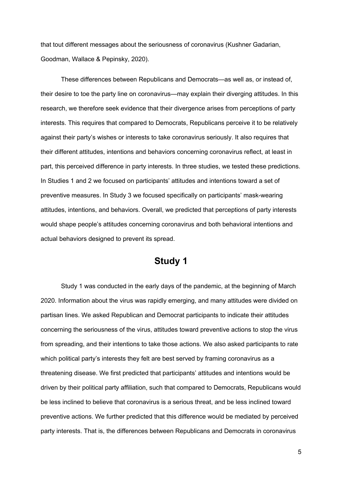that tout different messages about the seriousness of coronavirus (Kushner Gadarian, Goodman, Wallace & Pepinsky, 2020).

These differences between Republicans and Democrats—as well as, or instead of, their desire to toe the party line on coronavirus—may explain their diverging attitudes. In this research, we therefore seek evidence that their divergence arises from perceptions of party interests. This requires that compared to Democrats, Republicans perceive it to be relatively against their party's wishes or interests to take coronavirus seriously. It also requires that their different attitudes, intentions and behaviors concerning coronavirus reflect, at least in part, this perceived difference in party interests. In three studies, we tested these predictions. In Studies 1 and 2 we focused on participants' attitudes and intentions toward a set of preventive measures. In Study 3 we focused specifically on participants' mask-wearing attitudes, intentions, and behaviors. Overall, we predicted that perceptions of party interests would shape people's attitudes concerning coronavirus and both behavioral intentions and actual behaviors designed to prevent its spread.

## **Study 1**

Study 1 was conducted in the early days of the pandemic, at the beginning of March 2020. Information about the virus was rapidly emerging, and many attitudes were divided on partisan lines. We asked Republican and Democrat participants to indicate their attitudes concerning the seriousness of the virus, attitudes toward preventive actions to stop the virus from spreading, and their intentions to take those actions. We also asked participants to rate which political party's interests they felt are best served by framing coronavirus as a threatening disease. We first predicted that participants' attitudes and intentions would be driven by their political party affiliation, such that compared to Democrats, Republicans would be less inclined to believe that coronavirus is a serious threat, and be less inclined toward preventive actions. We further predicted that this difference would be mediated by perceived party interests. That is, the differences between Republicans and Democrats in coronavirus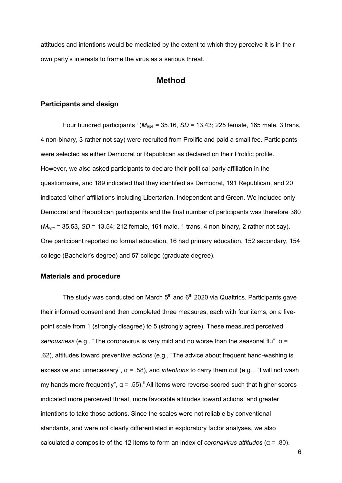attitudes and intentions would be mediated by the extent to which they perceive it is in their own party's interests to frame the virus as a serious threat.

## **Method**

#### **Participants and design**

Four hundred participants  $^{1}$  ( $M_{aqe}$  = 35.16, *SD* = 13.43; 225 female, 165 male, 3 trans, 4 non-binary, 3 rather not say) were recruited from Prolific and paid a small fee. Participants were selected as either Democrat or Republican as declared on their Prolific profile. However, we also asked participants to declare their political party affiliation in the questionnaire, and 189 indicated that they identified as Democrat, 191 Republican, and 20 indicated 'other' affiliations including Libertarian, Independent and Green. We included only Democrat and Republican participants and the final number of participants was therefore 380 (*Mage =* 35.53, *SD* = 13.54; 212 female, 161 male, 1 trans, 4 non-binary, 2 rather not say). One participant reported no formal education, 16 had primary education, 152 secondary, 154 college (Bachelor's degree) and 57 college (graduate degree).

#### **Materials and procedure**

The study was conducted on March  $5<sup>th</sup>$  and  $6<sup>th</sup>$  2020 via Qualtrics. Participants gave their informed consent and then completed three measures, each with four items, on a fivepoint scale from 1 (strongly disagree) to 5 (strongly agree). These measured perceived *seriousness* (e.g., "The coronavirus is very mild and no worse than the seasonal flu", α = .62), attitudes toward preventive *actions* (e.g., "The advice about frequent hand-washing is excessive and unnecessary", α = .58), and *intentions* to carry them out (e.g., "I will not wash my hands more frequently",  $\alpha = .55$ ).<sup>ii</sup> All items were reverse-scored such that higher scores indicated more perceived threat, more favorable attitudes toward actions, and greater intentions to take those actions. Since the scales were not reliable by conventional standards, and were not clearly differentiated in exploratory factor analyses, we also calculated a composite of the 12 items to form an index of *coronavirus attitudes* (α = .80).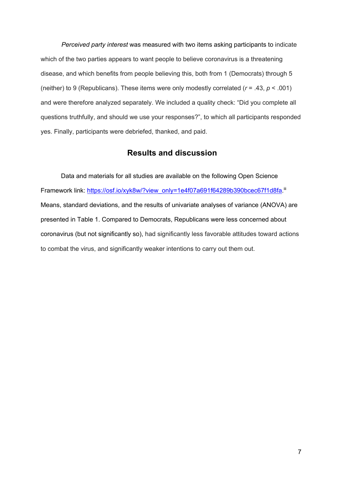*Perceived party interest* was measured with two items asking participants to indicate which of the two parties appears to want people to believe coronavirus is a threatening disease, and which benefits from people believing this, both from 1 (Democrats) through 5 (neither) to 9 (Republicans). These items were only modestly correlated (*r* = .43, *p* < .001) and were therefore analyzed separately. We included a quality check: "Did you complete all questions truthfully, and should we use your responses?", to which all participants responded yes. Finally, participants were debriefed, thanked, and paid.

## **Results and discussion**

Data and materials for all studies are available on the following Open Science Framework link: https://osf.io/xyk8w/?view\_only=1e4f07a691f64289b390bcec67f1d8fa.iii Means, standard deviations, and the results of univariate analyses of variance (ANOVA) are presented in Table 1. Compared to Democrats, Republicans were less concerned about coronavirus (but not significantly so), had significantly less favorable attitudes toward actions to combat the virus, and significantly weaker intentions to carry out them out.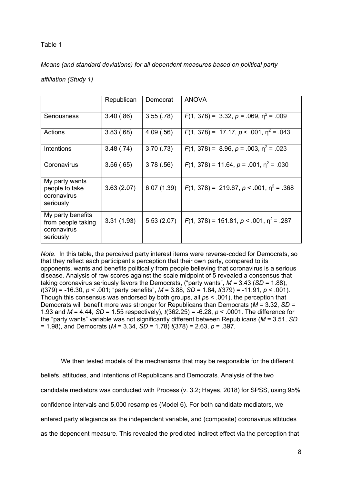#### Table 1

*Means (and standard deviations) for all dependent measures based on political party* 

|                                                                     | Republican | Democrat   | <b>ANOVA</b>                                  |
|---------------------------------------------------------------------|------------|------------|-----------------------------------------------|
| Seriousness                                                         | 3.40(.86)  | 3.55(.78)  | $F(1, 378) = 3.32, p = .069, \eta^2 = .009$   |
| Actions                                                             | 3.83(.68)  | 4.09(.56)  | $F(1, 378) = 17.17, p < .001, n^2 = .043$     |
| Intentions                                                          | 3.48(.74)  | 3.70(.73)  | $F(1, 378) = 8.96, p = .003, \eta^2 = .023$   |
| Coronavirus                                                         | 3.56(.65)  | 3.78(.56)  | $F(1, 378) = 11.64, p = .001, \eta^2 = .030$  |
| My party wants<br>people to take<br>coronavirus<br>seriously        | 3.63(2.07) | 6.07(1.39) | $F(1, 378) = 219.67, p < .001, \eta^2 = .368$ |
| My party benefits<br>from people taking<br>coronavirus<br>seriously | 3.31(1.93) | 5.53(2.07) | $F(1, 378) = 151.81, p < .001, \eta^2 = .287$ |

*Note.* In this table, the perceived party interest items were reverse-coded for Democrats, so that they reflect each participant's perception that their own party, compared to its opponents, wants and benefits politically from people believing that coronavirus is a serious disease. Analysis of raw scores against the scale midpoint of 5 revealed a consensus that taking coronavirus seriously favors the Democrats, ("party wants", *M =* 3.43 (*SD* = 1.88), *t*(379) = -16.30, *p* < .001; "party benefits", *M* = 3.88, *SD* = 1.84, *t*(379) = -11.91, *p* < .001). Though this consensus was endorsed by both groups, all *p*s < .001), the perception that Democrats will benefit more was stronger for Republicans than Democrats (*M* = 3.32, *SD =*  1.93 and *M* = 4.44, *SD* = 1.55 respectively), *t*(362.25) = -6.28, *p* < .0001. The difference for the "party wants" variable was not significantly different between Republicans (*M* = 3.51, *SD* = 1.98), and Democrats (*M* = 3.34, *SD* = 1.78) *t*(378) = 2.63, *p* = .397.

We then tested models of the mechanisms that may be responsible for the different beliefs, attitudes, and intentions of Republicans and Democrats. Analysis of the two candidate mediators was conducted with Process (v. 3.2; Hayes, 2018) for SPSS, using 95% confidence intervals and 5,000 resamples (Model 6). For both candidate mediators, we entered party allegiance as the independent variable, and (composite) coronavirus attitudes as the dependent measure. This revealed the predicted indirect effect via the perception that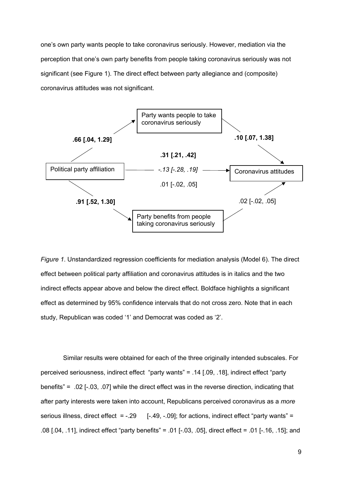one's own party wants people to take coronavirus seriously. However, mediation via the perception that one's own party benefits from people taking coronavirus seriously was not significant (see Figure 1). The direct effect between party allegiance and (composite) coronavirus attitudes was not significant.



*Figure 1*. Unstandardized regression coefficients for mediation analysis (Model 6). The direct effect between political party affiliation and coronavirus attitudes is in italics and the two indirect effects appear above and below the direct effect. Boldface highlights a significant effect as determined by 95% confidence intervals that do not cross zero. Note that in each study, Republican was coded '1' and Democrat was coded as '2'.

Similar results were obtained for each of the three originally intended subscales. For perceived seriousness, indirect effect "party wants" = .14 [.09, .18], indirect effect "party benefits" = .02 [-.03, .07] while the direct effect was in the reverse direction, indicating that after party interests were taken into account, Republicans perceived coronavirus as a *more* serious illness, direct effect =  $-.29$  [ $-.49, -.09$ ]; for actions, indirect effect "party wants" = .08 [.04, .11], indirect effect "party benefits" = .01 [-.03, .05], direct effect = .01 [-.16, .15]; and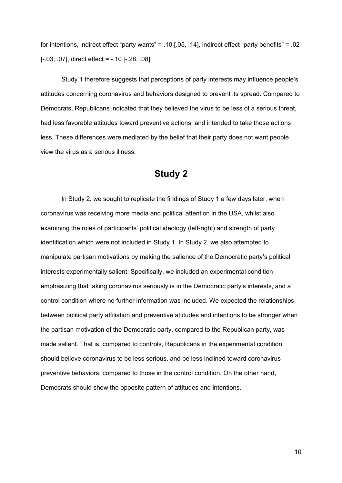for intentions, indirect effect "party wants" = .10 [.05, .14], indirect effect "party benefits" = .02 [-.03, .07], direct effect = -.10 [-.28, .08].

Study 1 therefore suggests that perceptions of party interests may influence people's attitudes concerning coronavirus and behaviors designed to prevent its spread. Compared to Democrats, Republicans indicated that they believed the virus to be less of a serious threat, had less favorable attitudes toward preventive actions, and intended to take those actions less. These differences were mediated by the belief that their party does not want people view the virus as a serious illness.

## **Study 2**

In Study 2, we sought to replicate the findings of Study 1 a few days later, when coronavirus was receiving more media and political attention in the USA, whilst also examining the roles of participants' political ideology (left-right) and strength of party identification which were not included in Study 1. In Study 2, we also attempted to manipulate partisan motivations by making the salience of the Democratic party's political interests experimentally salient. Specifically, we included an experimental condition emphasizing that taking coronavirus seriously is in the Democratic party's interests, and a control condition where no further information was included. We expected the relationships between political party affiliation and preventive attitudes and intentions to be stronger when the partisan motivation of the Democratic party, compared to the Republican party, was made salient. That is, compared to controls, Republicans in the experimental condition should believe coronavirus to be less serious, and be less inclined toward coronavirus preventive behaviors, compared to those in the control condition. On the other hand, Democrats should show the opposite pattern of attitudes and intentions.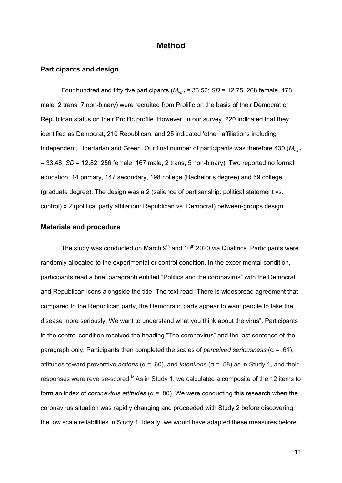### **Method**

#### **Participants and design**

Four hundred and fifty five participants (*Mage =* 33.52; *SD* = 12.75, 268 female, 178 male, 2 trans, 7 non-binary) were recruited from Prolific on the basis of their Democrat or Republican status on their Prolific profile. However, in our survey, 220 indicated that they identified as Democrat, 210 Republican, and 25 indicated 'other' affiliations including Independent, Libertarian and Green. Our final number of participants was therefore 430 (*Mage =* 33.48, *SD* = 12.82; 256 female, 167 male, 2 trans, 5 non-binary). Two reported no formal education, 14 primary, 147 secondary, 198 college (Bachelor's degree) and 69 college (graduate degree). The design was a 2 (salience of partisanship: political statement vs. control) x 2 (political party affiliation: Republican vs. Democrat) between-groups design.

#### **Materials and procedure**

The study was conducted on March  $9<sup>th</sup>$  and 10<sup>th</sup> 2020 via Qualtrics. Participants were randomly allocated to the experimental or control condition. In the experimental condition, participants read a brief paragraph entitled "Politics and the coronavirus" with the Democrat and Republican icons alongside the title. The text read "There is widespread agreement that compared to the Republican party, the Democratic party appear to want people to take the disease more seriously. We want to understand what you think about the virus". Participants in the control condition received the heading "The coronavirus" and the last sentence of the paragraph only. Participants then completed the scales of *perceived seriousness* (α = .61), attitudes toward preventive *actions* (α = .60), and *intentions* (α = .58) as in Study 1, and their responses were reverse-scored.<sup>iv</sup> As in Study 1, we calculated a composite of the 12 items to form an index of *coronavirus attitudes* (α = .80). We were conducting this research when the coronavirus situation was rapidly changing and proceeded with Study 2 before discovering the low scale reliabilities in Study 1. Ideally, we would have adapted these measures before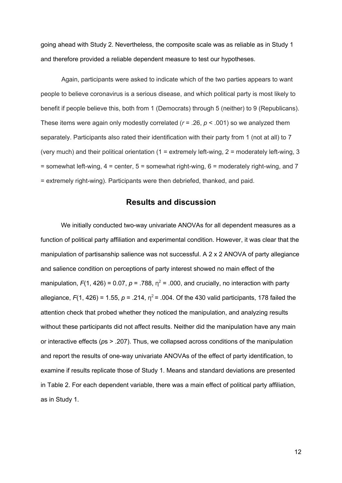going ahead with Study 2. Nevertheless, the composite scale was as reliable as in Study 1 and therefore provided a reliable dependent measure to test our hypotheses.

Again, participants were asked to indicate which of the two parties appears to want people to believe coronavirus is a serious disease, and which political party is most likely to benefit if people believe this, both from 1 (Democrats) through 5 (neither) to 9 (Republicans). These items were again only modestly correlated (*r* = .26, *p* < .001) so we analyzed them separately. Participants also rated their identification with their party from 1 (not at all) to 7 (very much) and their political orientation (1 = extremely left-wing, 2 = moderately left-wing, 3  $=$  somewhat left-wing,  $4 =$  center,  $5 =$  somewhat right-wing,  $6 =$  moderately right-wing, and  $7 =$ = extremely right-wing). Participants were then debriefed, thanked, and paid.

## **Results and discussion**

We initially conducted two-way univariate ANOVAs for all dependent measures as a function of political party affiliation and experimental condition. However, it was clear that the manipulation of partisanship salience was not successful. A 2 x 2 ANOVA of party allegiance and salience condition on perceptions of party interest showed no main effect of the manipulation,  $F(1, 426) = 0.07$ ,  $p = .788$ ,  $n^2 = .000$ , and crucially, no interaction with party allegiance,  $F(1, 426) = 1.55$ ,  $p = .214$ ,  $p^2 = .004$ . Of the 430 valid participants, 178 failed the attention check that probed whether they noticed the manipulation, and analyzing results without these participants did not affect results. Neither did the manipulation have any main or interactive effects (*p*s > .207). Thus, we collapsed across conditions of the manipulation and report the results of one-way univariate ANOVAs of the effect of party identification, to examine if results replicate those of Study 1. Means and standard deviations are presented in Table 2. For each dependent variable, there was a main effect of political party affiliation, as in Study 1.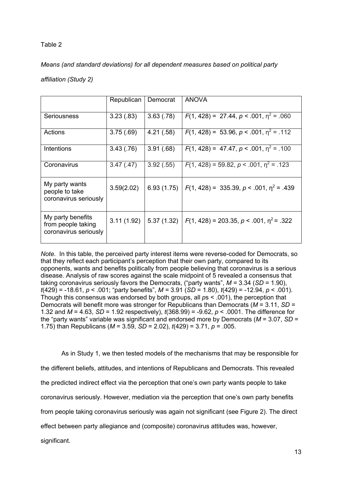### Table 2

*Means (and standard deviations) for all dependent measures based on political party* 

*affiliation (Study 2)*

|                                                                  | Republican | Democrat   | <b>ANOVA</b>                                 |
|------------------------------------------------------------------|------------|------------|----------------------------------------------|
| Seriousness                                                      | 3.23(.83)  | 3.63(.78)  | $F(1, 428) = 27.44, p < .001, n^2 = .060$    |
| Actions                                                          | 3.75(.69)  | 4.21(.58)  | $F(1, 428) = 53.96, p < .001, n^2 = .112$    |
| Intentions                                                       | 3.43(.76)  | 3.91(.68)  | $F(1, 428) = 47.47, p < .001, \eta^2 = .100$ |
| Coronavirus                                                      | 3.47(0.47) | 3.92(.55)  | $F(1, 428) = 59.82, p < .001, \eta^2 = .123$ |
| My party wants<br>people to take<br>coronavirus seriously        | 3.59(2.02) | 6.93(1.75) | $F(1, 428) = 335.39, p < .001, n^2 = .439$   |
| My party benefits<br>from people taking<br>coronavirus seriously | 3.11(1.92) | 5.37(1.32) | $F(1, 428) = 203.35, p < .001, n^2 = .322$   |

*Note.* In this table, the perceived party interest items were reverse-coded for Democrats, so that they reflect each participant's perception that their own party, compared to its opponents, wants and benefits politically from people believing that coronavirus is a serious disease. Analysis of raw scores against the scale midpoint of 5 revealed a consensus that taking coronavirus seriously favors the Democrats, ("party wants", *M =* 3.34 (*SD* = 1.90), *t*(429) = -18.61, *p* < .001; "party benefits", *M =* 3.91 (*SD* = 1.80), *t*(429) = -12.94, *p* < .001). Though this consensus was endorsed by both groups, all *p*s < .001), the perception that Democrats will benefit more was stronger for Republicans than Democrats (*M* = 3.11, *SD =*  1.32 and *M* = 4.63, *SD* = 1.92 respectively), *t*(368.99) = -9.62, *p* < .0001. The difference for the "party wants" variable was significant and endorsed more by Democrats (*M* = 3.07, *SD* = 1.75) than Republicans (*M* = 3.59, *SD* = 2.02), *t*(429) = 3.71, *p* = .005.

As in Study 1, we then tested models of the mechanisms that may be responsible for the different beliefs, attitudes, and intentions of Republicans and Democrats. This revealed the predicted indirect effect via the perception that one's own party wants people to take coronavirus seriously. However, mediation via the perception that one's own party benefits from people taking coronavirus seriously was again not significant (see Figure 2). The direct effect between party allegiance and (composite) coronavirus attitudes was, however, significant.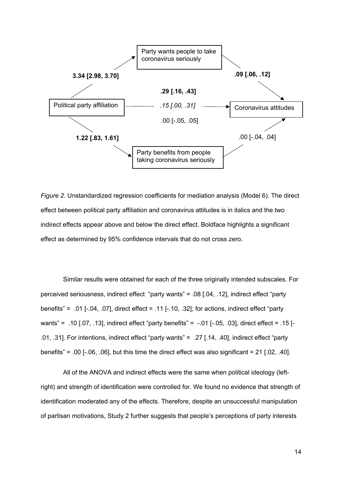

*Figure 2*. Unstandardized regression coefficients for mediation analysis (Model 6). The direct effect between political party affiliation and coronavirus attitudes is in italics and the two indirect effects appear above and below the direct effect. Boldface highlights a significant effect as determined by 95% confidence intervals that do not cross zero.

Similar results were obtained for each of the three originally intended subscales. For perceived seriousness, indirect effect "party wants" = .08 [.04, .12], indirect effect "party benefits" = .01 [-.04, .07], direct effect = .11 [-.10, .32]; for actions, indirect effect "party wants" = .10 [.07, .13], indirect effect "party benefits" = -.01 [-.05, .03], direct effect = .15 [- .01, .31]. For intentions, indirect effect "party wants" = .27 [.14, .40], indirect effect "party benefits" = .00 [ $-0.06$ ,  $0.06$ ], but this time the direct effect was also significant = 21 [.02, .40].

All of the ANOVA and indirect effects were the same when political ideology (leftright) and strength of identification were controlled for. We found no evidence that strength of identification moderated any of the effects. Therefore, despite an unsuccessful manipulation of partisan motivations, Study 2 further suggests that people's perceptions of party interests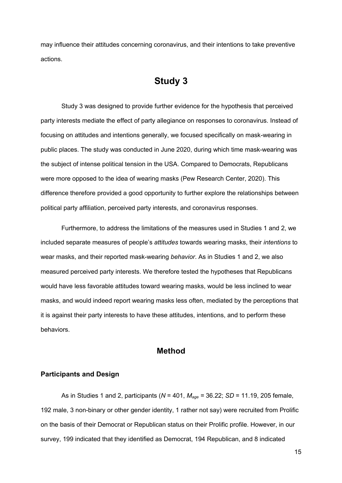may influence their attitudes concerning coronavirus, and their intentions to take preventive actions.

# **Study 3**

Study 3 was designed to provide further evidence for the hypothesis that perceived party interests mediate the effect of party allegiance on responses to coronavirus. Instead of focusing on attitudes and intentions generally, we focused specifically on mask-wearing in public places. The study was conducted in June 2020, during which time mask-wearing was the subject of intense political tension in the USA. Compared to Democrats, Republicans were more opposed to the idea of wearing masks (Pew Research Center, 2020). This difference therefore provided a good opportunity to further explore the relationships between political party affiliation, perceived party interests, and coronavirus responses.

Furthermore, to address the limitations of the measures used in Studies 1 and 2, we included separate measures of people's *attitudes* towards wearing masks, their *intentions* to wear masks, and their reported mask-wearing *behavior*. As in Studies 1 and 2, we also measured perceived party interests. We therefore tested the hypotheses that Republicans would have less favorable attitudes toward wearing masks, would be less inclined to wear masks, and would indeed report wearing masks less often, mediated by the perceptions that it is against their party interests to have these attitudes, intentions, and to perform these behaviors.

## **Method**

#### **Participants and Design**

As in Studies 1 and 2, participants (*N* = 401, *Mage =* 36.22; *SD* = 11.19, 205 female, 192 male, 3 non-binary or other gender identity, 1 rather not say) were recruited from Prolific on the basis of their Democrat or Republican status on their Prolific profile. However, in our survey, 199 indicated that they identified as Democrat, 194 Republican, and 8 indicated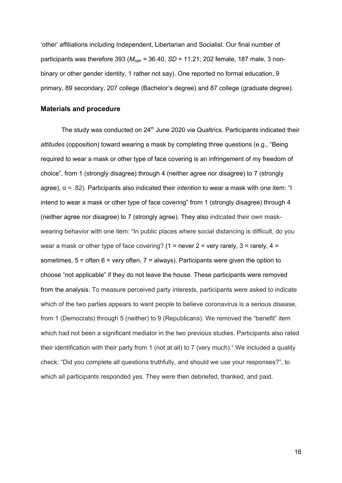'other' affiliations including Independent, Libertarian and Socialist. Our final number of participants was therefore 393 (*Mage =* 36.40, *SD* = 11.21; 202 female, 187 male, 3 nonbinary or other gender identity, 1 rather not say). One reported no formal education, 9 primary, 89 secondary, 207 college (Bachelor's degree) and 87 college (graduate degree).

#### **Materials and procedure**

The study was conducted on 24<sup>th</sup> June 2020 via Qualtrics. Participants indicated their *attitudes* (opposition) toward wearing a mask by completing three questions (e.g., "Being required to wear a mask or other type of face covering is an infringement of my freedom of choice", from 1 (strongly disagree) through 4 (neither agree nor disagree) to 7 (strongly agree), α = .82). Participants also indicated their *intention* to wear a mask with one item: "I intend to wear a mask or other type of face covering" from 1 (strongly disagree) through 4 (neither agree nor disagree) to 7 (strongly agree). They also indicated their own maskwearing behavior with one item: "In public places where social distancing is difficult, do you wear a mask or other type of face covering? (1 = never  $2$  = very rarely,  $3$  = rarely,  $4$  = sometimes,  $5 =$  often  $6 =$  very often,  $7 =$  always). Participants were given the option to choose "not applicable" if they do not leave the house. These participants were removed from the analysis. To measure perceived party interests, participants were asked to indicate which of the two parties appears to want people to believe coronavirus is a serious disease, from 1 (Democrats) through 5 (neither) to 9 (Republicans). We removed the "benefit" item which had not been a significant mediator in the two previous studies. Participants also rated their identification with their party from 1 (not at all) to 7 (very much). We included a quality check: "Did you complete all questions truthfully, and should we use your responses?", to which all participants responded yes. They were then debriefed, thanked, and paid.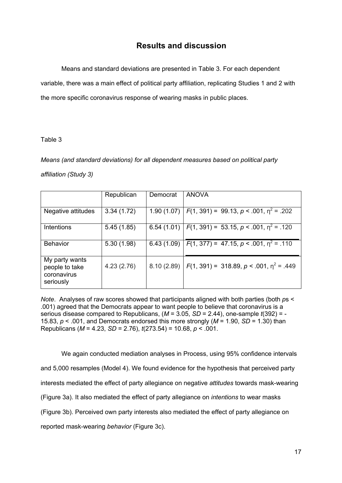## **Results and discussion**

Means and standard deviations are presented in Table 3. For each dependent variable, there was a main effect of political party affiliation, replicating Studies 1 and 2 with the more specific coronavirus response of wearing masks in public places.

#### Table 3

*Means (and standard deviations) for all dependent measures based on political party* 

#### *affiliation (Study 3)*

|                                                              | Republican | Democrat   | <b>ANOVA</b>                                                   |
|--------------------------------------------------------------|------------|------------|----------------------------------------------------------------|
| Negative attitudes                                           | 3.34(1.72) |            | 1.90 (1.07)   $F(1, 391) = 99.13$ , $p < .001$ , $p^2 = .202$  |
| Intentions                                                   | 5.45(1.85) |            | 6.54 (1.01)   $F(1, 391) = 53.15$ , $p < .001$ , $p^2 = .120$  |
|                                                              |            |            |                                                                |
| <b>Behavior</b>                                              | 5.30(1.98) | 6.43(1.09) | $F(1, 377) = 47.15, p < .001, \eta^2 = .110$                   |
| My party wants<br>people to take<br>coronavirus<br>seriously | 4.23(2.76) |            | 8.10 (2.89)   $F(1, 391) = 318.89$ , $p < .001$ , $p^2 = .449$ |

*Note*. Analyses of raw scores showed that participants aligned with both parties (both *ps <* .001) agreed that the Democrats appear to want people to believe that coronavirus is a serious disease compared to Republicans, (*M* = 3.05, *SD* = 2.44), one-sample *t*(392) = - 15.83, *p* < .001, and Democrats endorsed this more strongly (*M* = 1.90, *SD* = 1.30) than Republicans (*M* = 4.23, *SD* = 2.76), *t*(273.54) = 10.68, *p* < .001.

We again conducted mediation analyses in Process, using 95% confidence intervals and 5,000 resamples (Model 4). We found evidence for the hypothesis that perceived party interests mediated the effect of party allegiance on negative *attitudes* towards mask-wearing (Figure 3a). It also mediated the effect of party allegiance on *intentions* to wear masks (Figure 3b). Perceived own party interests also mediated the effect of party allegiance on reported mask-wearing *behavior* (Figure 3c).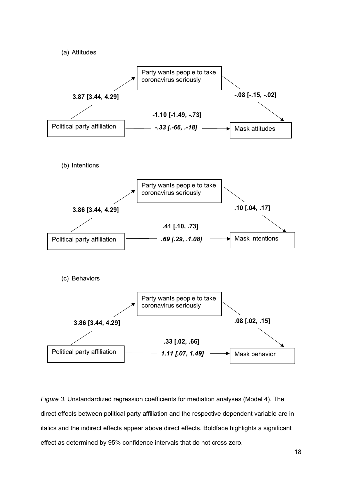

*Figure 3*. Unstandardized regression coefficients for mediation analyses (Model 4). The direct effects between political party affiliation and the respective dependent variable are in italics and the indirect effects appear above direct effects. Boldface highlights a significant effect as determined by 95% confidence intervals that do not cross zero.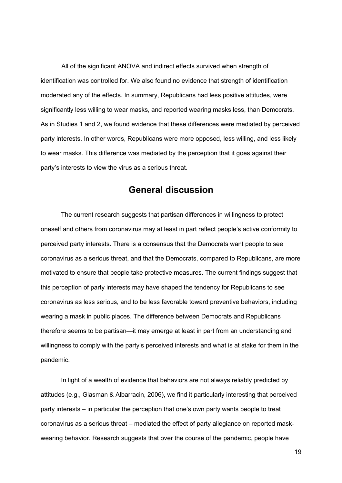All of the significant ANOVA and indirect effects survived when strength of identification was controlled for. We also found no evidence that strength of identification moderated any of the effects. In summary, Republicans had less positive attitudes, were significantly less willing to wear masks, and reported wearing masks less, than Democrats. As in Studies 1 and 2, we found evidence that these differences were mediated by perceived party interests. In other words, Republicans were more opposed, less willing, and less likely to wear masks. This difference was mediated by the perception that it goes against their party's interests to view the virus as a serious threat.

## **General discussion**

The current research suggests that partisan differences in willingness to protect oneself and others from coronavirus may at least in part reflect people's active conformity to perceived party interests. There is a consensus that the Democrats want people to see coronavirus as a serious threat, and that the Democrats, compared to Republicans, are more motivated to ensure that people take protective measures. The current findings suggest that this perception of party interests may have shaped the tendency for Republicans to see coronavirus as less serious, and to be less favorable toward preventive behaviors, including wearing a mask in public places. The difference between Democrats and Republicans therefore seems to be partisan—it may emerge at least in part from an understanding and willingness to comply with the party's perceived interests and what is at stake for them in the pandemic.

In light of a wealth of evidence that behaviors are not always reliably predicted by attitudes (e.g., Glasman & Albarracin, 2006), we find it particularly interesting that perceived party interests – in particular the perception that one's own party wants people to treat coronavirus as a serious threat – mediated the effect of party allegiance on reported maskwearing behavior. Research suggests that over the course of the pandemic, people have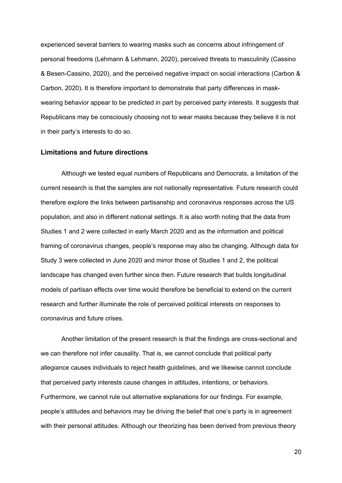experienced several barriers to wearing masks such as concerns about infringement of personal freedoms (Lehmann & Lehmann, 2020), perceived threats to masculinity (Cassino & Besen-Cassino, 2020), and the perceived negative impact on social interactions (Carbon & Carbon, 2020). It is therefore important to demonstrate that party differences in maskwearing behavior appear to be predicted in part by perceived party interests. It suggests that Republicans may be consciously choosing not to wear masks because they believe it is not in their party's interests to do so.

#### **Limitations and future directions**

Although we tested equal numbers of Republicans and Democrats, a limitation of the current research is that the samples are not nationally representative. Future research could therefore explore the links between partisanship and coronavirus responses across the US population, and also in different national settings. It is also worth noting that the data from Studies 1 and 2 were collected in early March 2020 and as the information and political framing of coronavirus changes, people's response may also be changing. Although data for Study 3 were collected in June 2020 and mirror those of Studies 1 and 2, the political landscape has changed even further since then. Future research that builds longitudinal models of partisan effects over time would therefore be beneficial to extend on the current research and further illuminate the role of perceived political interests on responses to coronavirus and future crises.

Another limitation of the present research is that the findings are cross-sectional and we can therefore not infer causality. That is, we cannot conclude that political party allegiance causes individuals to reject health guidelines, and we likewise cannot conclude that perceived party interests cause changes in attitudes, intentions, or behaviors. Furthermore, we cannot rule out alternative explanations for our findings. For example, people's attitudes and behaviors may be driving the belief that one's party is in agreement with their personal attitudes. Although our theorizing has been derived from previous theory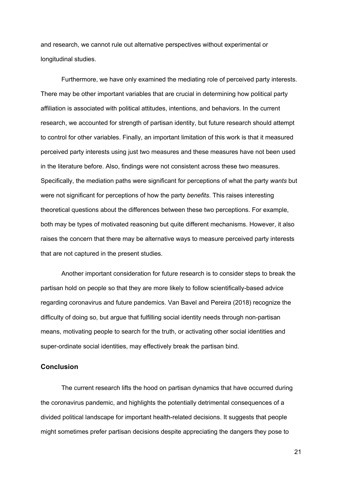and research, we cannot rule out alternative perspectives without experimental or longitudinal studies.

Furthermore, we have only examined the mediating role of perceived party interests. There may be other important variables that are crucial in determining how political party affiliation is associated with political attitudes, intentions, and behaviors. In the current research, we accounted for strength of partisan identity, but future research should attempt to control for other variables. Finally, an important limitation of this work is that it measured perceived party interests using just two measures and these measures have not been used in the literature before. Also, findings were not consistent across these two measures. Specifically, the mediation paths were significant for perceptions of what the party *wants* but were not significant for perceptions of how the party *benefits*. This raises interesting theoretical questions about the differences between these two perceptions. For example, both may be types of motivated reasoning but quite different mechanisms. However, it also raises the concern that there may be alternative ways to measure perceived party interests that are not captured in the present studies.

Another important consideration for future research is to consider steps to break the partisan hold on people so that they are more likely to follow scientifically-based advice regarding coronavirus and future pandemics. Van Bavel and Pereira (2018) recognize the difficulty of doing so, but argue that fulfilling social identity needs through non-partisan means, motivating people to search for the truth, or activating other social identities and super-ordinate social identities, may effectively break the partisan bind.

#### **Conclusion**

The current research lifts the hood on partisan dynamics that have occurred during the coronavirus pandemic, and highlights the potentially detrimental consequences of a divided political landscape for important health-related decisions. It suggests that people might sometimes prefer partisan decisions despite appreciating the dangers they pose to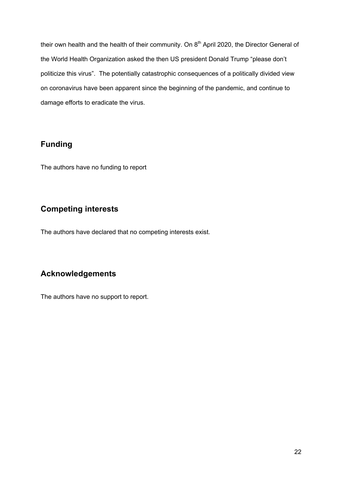their own health and the health of their community. On  $8<sup>th</sup>$  April 2020, the Director General of the World Health Organization asked the then US president Donald Trump "please don't politicize this virus". The potentially catastrophic consequences of a politically divided view on coronavirus have been apparent since the beginning of the pandemic, and continue to damage efforts to eradicate the virus.

## **Funding**

The authors have no funding to report

# **Competing interests**

The authors have declared that no competing interests exist.

## **Acknowledgements**

The authors have no support to report.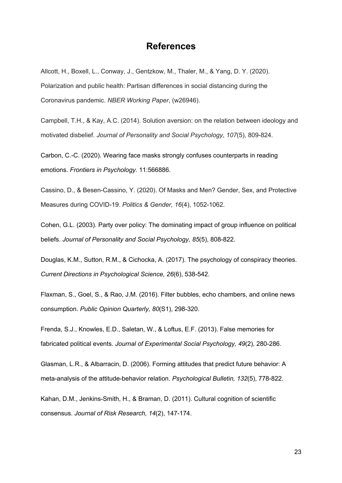## **References**

Allcott, H., Boxell, L., Conway, J., Gentzkow, M., Thaler, M., & Yang, D. Y. (2020). Polarization and public health: Partisan differences in social distancing during the Coronavirus pandemic. *NBER Working Paper*, (w26946).

Campbell, T.H., & Kay, A.C. (2014). Solution aversion: on the relation between ideology and motivated disbelief. *Journal of Personality and Social Psychology*, *107*(5), 809-824.

Carbon, C.-C. (2020). Wearing face masks strongly confuses counterparts in reading emotions. *Frontiers in Psychology.* 11:566886.

Cassino, D., & Besen-Cassino, Y. (2020). Of Masks and Men? Gender, Sex, and Protective Measures during COVID-19. *Politics & Gender, 16*(4), 1052-1062.

Cohen, G.L. (2003). Party over policy: The dominating impact of group influence on political beliefs. *Journal of Personality and Social Psychology, 85*(5), 808-822.

Douglas, K.M., Sutton, R.M., & Cichocka, A. (2017). The psychology of conspiracy theories. *Current Directions in Psychological Science, 26*(6), 538-542.

Flaxman, S., Goel, S., & Rao, J.M. (2016). Filter bubbles, echo chambers, and online news consumption. *Public Opinion Quarterly, 80*(S1), 298-320.

Frenda, S.J., Knowles, E.D., Saletan, W., & Loftus, E.F. (2013). False memories for fabricated political events. *Journal of Experimental Social Psychology, 49*(2)*,* 280-286.

Glasman, L.R., & Albarracin, D. (2006). Forming attitudes that predict future behavior: A meta-analysis of the attitude-behavior relation. *Psychological Bulletin, 132*(5), 778-822.

Kahan, D.M., Jenkins-Smith, H., & Braman, D. (2011). Cultural cognition of scientific consensus. *Journal of Risk Research, 14*(2), 147-174.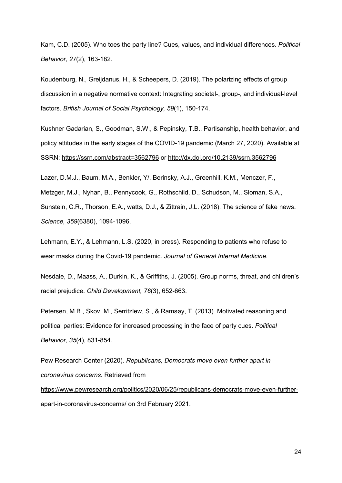Kam, C.D. (2005). Who toes the party line? Cues, values, and individual differences. *Political Behavior, 27*(2), 163-182.

Koudenburg, N., Greijdanus, H., & Scheepers, D. (2019). The polarizing effects of group discussion in a negative normative context: Integrating societal-, group-, and individual-level factors. *British Journal of Social Psychology, 59*(1), 150-174.

Kushner Gadarian, S., Goodman, S.W., & Pepinsky, T.B., Partisanship, health behavior, and policy attitudes in the early stages of the COVID-19 pandemic (March 27, 2020). Available at SSRN: https://ssrn.com/abstract=3562796 or http://dx.doi.org/10.2139/ssrn.3562796

Lazer, D.M.J., Baum, M.A., Benkler, Y/. Berinsky, A.J., Greenhill, K.M., Menczer, F., Metzger, M.J., Nyhan, B., Pennycook, G., Rothschild, D., Schudson, M., Sloman, S.A., Sunstein, C.R., Thorson, E.A., watts, D.J., & Zittrain, J.L. (2018). The science of fake news. *Science, 359*(6380), 1094-1096.

Lehmann, E.Y., & Lehmann, L.S. (2020, in press). Responding to patients who refuse to wear masks during the Covid-19 pandemic. *Journal of General Internal Medicine.*

Nesdale, D., Maass, A., Durkin, K., & Griffiths, J. (2005). Group norms, threat, and children's racial prejudice. *Child Development, 76*(3), 652-663.

Petersen, M.B., Skov, M., Serritzlew, S., & Ramsøy, T. (2013). Motivated reasoning and political parties: Evidence for increased processing in the face of party cues. *Political Behavior, 35*(4), 831-854.

Pew Research Center (2020). *Republicans, Democrats move even further apart in coronavirus concerns.* Retrieved from https://www.pewresearch.org/politics/2020/06/25/republicans-democrats-move-even-furtherapart-in-coronavirus-concerns/ on 3rd February 2021.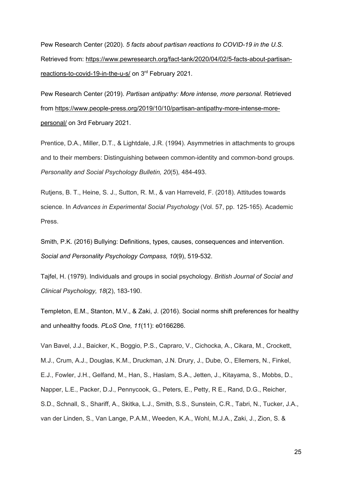Pew Research Center (2020). *5 facts about partisan reactions to COVID-19 in the U.S*. Retrieved from: https://www.pewresearch.org/fact-tank/2020/04/02/5-facts-about-partisanreactions-to-covid-19-in-the-u-s/ on 3rd February 2021.

Pew Research Center (2019). *Partisan antipathy: More intense, more personal*. Retrieved from https://www.people-press.org/2019/10/10/partisan-antipathy-more-intense-morepersonal/ on 3rd February 2021.

Prentice, D.A., Miller, D.T., & Lightdale, J.R. (1994). Asymmetries in attachments to groups and to their members: Distinguishing between common-identity and common-bond groups. *Personality and Social Psychology Bulletin, 20*(5)*,* 484-493.

Rutjens, B. T., Heine, S. J., Sutton, R. M., & van Harreveld, F. (2018). Attitudes towards science. In *Advances in Experimental Social Psychology* (Vol. 57, pp. 125-165). Academic Press.

Smith, P.K. (2016) Bullying: Definitions, types, causes, consequences and intervention. *Social and Personality Psychology Compass, 10*(9), 519-532.

Tajfel, H. (1979). Individuals and groups in social psychology. *British Journal of Social and Clinical Psychology, 18*(2), 183-190.

Templeton, E.M., Stanton, M.V., & Zaki, J. (2016). Social norms shift preferences for healthy and unhealthy foods. *PLoS One, 11*(11): e0166286.

Van Bavel, J.J., Baicker, K., Boggio, P.S., Capraro, V., Cichocka, A., Cikara, M., Crockett, M.J., Crum, A.J., Douglas, K.M., Druckman, J.N. Drury, J., Dube, O., Ellemers, N., Finkel, E.J., Fowler, J.H., Gelfand, M., Han, S., Haslam, S.A., Jetten, J., Kitayama, S., Mobbs, D., Napper, L.E., Packer, D.J., Pennycook, G., Peters, E., Petty, R E., Rand, D.G., Reicher, S.D., Schnall, S., Shariff, A., Skitka, L.J., Smith, S.S., Sunstein, C.R., Tabri, N., Tucker, J.A., van der Linden, S., Van Lange, P.A.M., Weeden, K.A., Wohl, M.J.A., Zaki, J., Zion, S. &